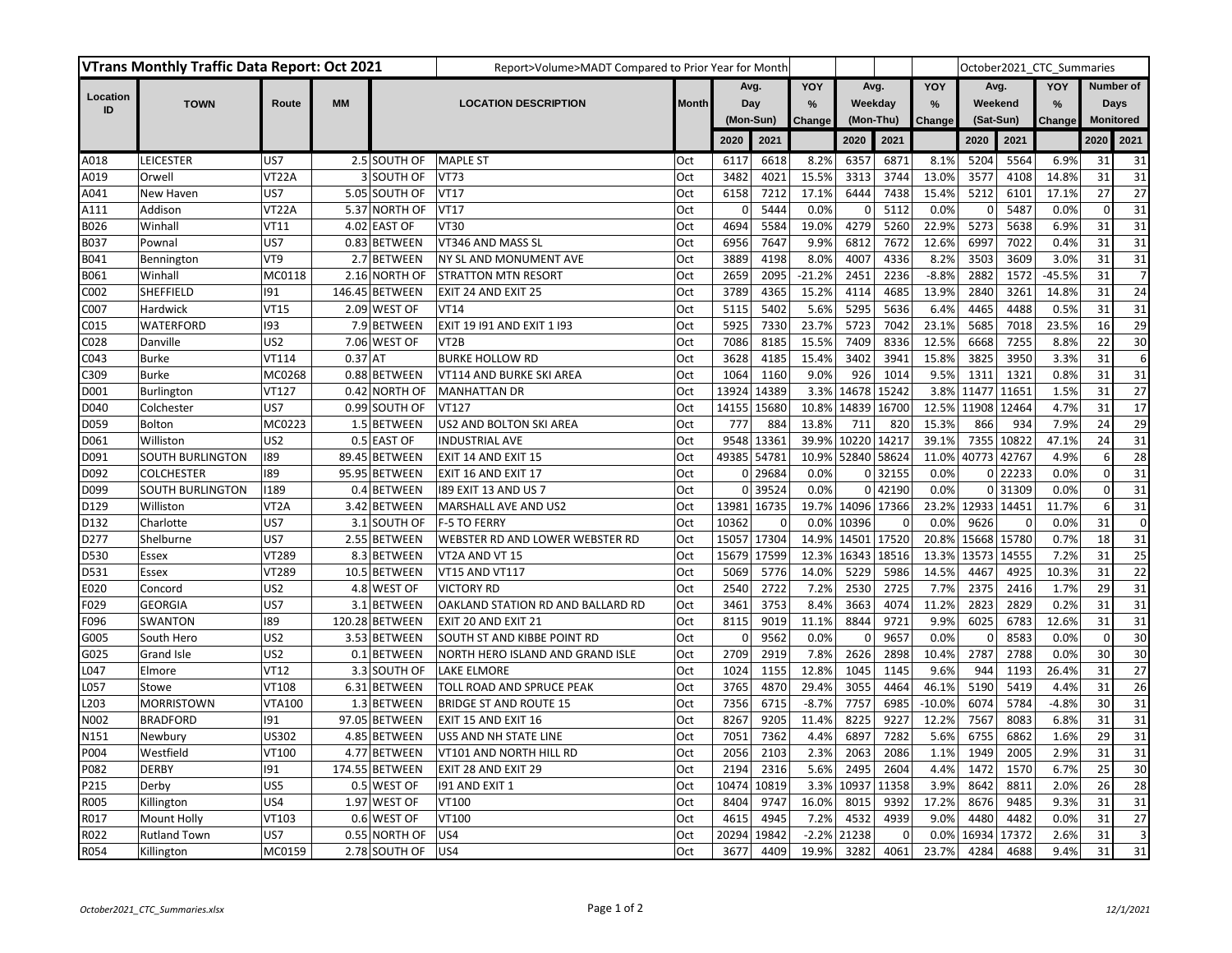| VTrans Monthly Traffic Data Report: Oct 2021 |                         |                    |           |                | Report>Volume>MADT Compared to Prior Year for Month |              |                  |             |               |                |          |               |             |          | October2021 CTC Summaries |             |                         |  |
|----------------------------------------------|-------------------------|--------------------|-----------|----------------|-----------------------------------------------------|--------------|------------------|-------------|---------------|----------------|----------|---------------|-------------|----------|---------------------------|-------------|-------------------------|--|
|                                              |                         |                    |           |                |                                                     |              | Avg.             |             | YOY           | Avg.           |          | YOY           | Avg.        |          | YOY                       |             | Number of               |  |
| Location<br>ID                               | <b>TOWN</b>             | Route              | <b>MM</b> |                | <b>LOCATION DESCRIPTION</b>                         | <b>Month</b> | Dav<br>(Mon-Sun) |             | $\frac{9}{6}$ | Weekday        |          | $\frac{9}{6}$ | Weekend     |          | %                         |             | Days                    |  |
|                                              |                         |                    |           |                |                                                     |              |                  |             | Change        | (Mon-Thu)      |          | Change        | (Sat-Sun)   |          | Change                    |             | <b>Monitored</b>        |  |
|                                              |                         |                    |           |                |                                                     |              | 2020             | 2021        |               | 2020           | 2021     |               | 2020        | 2021     |                           | 2020        | 2021                    |  |
| A018                                         | LEICESTER               | US7                |           | 2.5 SOUTH OF   | <b>MAPLE ST</b>                                     | Oct          | 6117             | 6618        | 8.2%          | 6357           | 6871     | 8.1%          | 5204        | 5564     | 6.9%                      | 31          | 31                      |  |
| A019                                         | Orwell                  | VT22A              |           | 3 SOUTH OF     | <b>VT73</b>                                         | Oct          | 3482             | 4021        | 15.5%         | 3313           | 3744     | 13.0%         | 3577        | 4108     | 14.8%                     | 31          | 31                      |  |
| A041                                         | New Haven               | US7                |           | 5.05 SOUTH OF  | <b>VT17</b>                                         | Oct          | 6158             | 7212        | 17.1%         | 6444           | 7438     | 15.4%         | 5212        | 6101     | 17.1%                     | 27          | 27                      |  |
| A111                                         | Addison                 | VT <sub>22</sub> A |           | 5.37 NORTH OF  | <b>VT17</b>                                         | Oct          | 0                | 5444        | 0.0%          | O              | 5112     | 0.0%          | 0           | 5487     | 0.0%                      | $\Omega$    | 31                      |  |
| B026                                         | Winhall                 | <b>VT11</b>        |           | 4.02 EAST OF   | <b>VT30</b>                                         | Oct          | 4694             | 5584        | 19.0%         | 4279           | 5260     | 22.9%         | 5273        | 5638     | 6.9%                      | 31          | 31                      |  |
| B037                                         | Pownal                  | US7                |           | 0.83 BETWEEN   | VT346 AND MASS SL                                   | Oct          | 6956             | 7647        | 9.9%          | 6812           | 7672     | 12.6%         | 6997        | 7022     | 0.4%                      | 31          | 31                      |  |
| B041                                         | Bennington              | VT9                |           | 2.7 BETWEEN    | NY SL AND MONUMENT AVE                              | Oct          | 3889             | 4198        | 8.0%          | 4007           | 4336     | 8.2%          | 3503        | 3609     | 3.0%                      | 31          | 31                      |  |
| B061                                         | Winhall                 | MC0118             |           | 2.16 NORTH OF  | <b>STRATTON MTN RESORT</b>                          | Oct          | 2659             | 2095        | $-21.2%$      | 2451           | 2236     | $-8.8%$       | 2882        | 1572     | $-45.5%$                  | 31          | $\overline{7}$          |  |
| C002                                         | SHEFFIELD               | 191                |           | 146.45 BETWEEN | EXIT 24 AND EXIT 25                                 | Oct          | 3789             | 4365        | 15.2%         | 4114           | 4685     | 13.9%         | 2840        | 3261     | 14.8%                     | 31          | $\overline{24}$         |  |
| C007                                         | Hardwick                | <b>VT15</b>        |           | 2.09 WEST OF   | VT14                                                | Oct          | 5115             | 5402        | 5.6%          | 5295           | 5636     | 6.4%          | 4465        | 4488     | 0.5%                      | 31          | 31                      |  |
| C015                                         | WATERFORD               | 193                |           | 7.9 BETWEEN    | EXIT 19 191 AND EXIT 1 193                          | Oct          | 5925             | 7330        | 23.7%         | 5723           | 7042     | 23.1%         | 5685        | 7018     | 23.5%                     | 16          | 29                      |  |
| C028                                         | Danville                | US <sub>2</sub>    |           | 7.06 WEST OF   | VT <sub>2</sub> B                                   | Oct          | 7086             | 8185        | 15.5%         | 7409           | 8336     | 12.5%         | 6668        | 7255     | 8.8%                      | 22          | 30                      |  |
| C043                                         | <b>Burke</b>            | VT114              | $0.37$ AT |                | <b>BURKE HOLLOW RD</b>                              | Oct          | 3628             | 4185        | 15.4%         | 3402           | 3941     | 15.8%         | 3825        | 3950     | 3.3%                      | 31          | 6                       |  |
| C309                                         | <b>Burke</b>            | MC0268             |           | 0.88 BETWEEN   | VT114 AND BURKE SKI AREA                            | Oct          | 1064             | 1160        | 9.0%          | 926            | 1014     | 9.5%          | 1311        | 1321     | 0.8%                      | 31          | 31                      |  |
| D001                                         | Burlington              | VT127              |           | 0.42 NORTH OF  | <b>MANHATTAN DR</b>                                 | Oct          | 13924            | 14389       | 3.3%          | 14678          | 15242    | 3.8%          | 11477       | 11651    | 1.5%                      | 31          | $\overline{27}$         |  |
| D040                                         | Colchester              | US7                |           | 0.99 SOUTH OF  | VT127                                               | Oct          | 14155            | 15680       | 10.8%         | 14839          | 16700    | 12.5%         | 11908       | 12464    | 4.7%                      | 31          | 17                      |  |
| D059                                         | <b>Bolton</b>           | MC0223             |           | 1.5 BETWEEN    | US2 AND BOLTON SKI AREA                             | Oct          | 777              | 884         | 13.8%         | 711            | 820      | 15.3%         | 866         | 934      | 7.9%                      | 24          | 29                      |  |
| D061                                         | Williston               | US <sub>2</sub>    |           | 0.5 EAST OF    | <b>INDUSTRIAL AVE</b>                               | Oct          | 9548             | 13361       |               | 39.9% 10220    | 14217    | 39.1%         | 7355        | 10822    | 47.1%                     | 24          | 31                      |  |
| D091                                         | <b>SOUTH BURLINGTON</b> | 189                |           | 89.45 BETWEEN  | EXIT 14 AND EXIT 15                                 | Oct          | 49385            | 54781       | 10.9%         | 52840          | 58624    | 11.0%         | 40773       | 42767    | 4.9%                      | 6           | 28                      |  |
| D092                                         | <b>COLCHESTER</b>       | 189                |           | 95.95 BETWEEN  | EXIT 16 AND EXIT 17                                 | Oct          |                  | 0 29684     | 0.0%          | $\overline{0}$ | 32155    | 0.0%          |             | 0 22233  | 0.0%                      | $\Omega$    | 31                      |  |
| D099                                         | <b>SOUTH BURLINGTON</b> | 1189               |           | 0.4 BETWEEN    | 189 EXIT 13 AND US 7                                | Oct          | 0                | 39524       | 0.0%          | O              | 42190    | 0.0%          |             | 031309   | 0.0%                      | $\mathbf 0$ | 31                      |  |
| D129                                         | Williston               | VT <sub>2</sub> A  |           | 3.42 BETWEEN   | MARSHALL AVE AND US2                                | Oct          | 13981            | 16735       |               | 19.7% 14096    | 17366    | 23.2%         | 12933 14451 |          | 11.7%                     | 6           | 31                      |  |
| D132                                         | Charlotte               | US7                |           | 3.1 SOUTH OF   | <b>F-5 TO FERRY</b>                                 | Oct          | 10362            | $\mathbf 0$ | 0.0%          | 10396          | $\Omega$ | 0.0%          | 9626        | $\Omega$ | 0.0%                      | 31          | $\mathbf 0$             |  |
| D277                                         | Shelburne               | US7                |           | 2.55 BETWEEN   | WEBSTER RD AND LOWER WEBSTER RD                     | Oct          | 15057 17304      |             | 14.9%         | 14501          | 17520    | 20.8%         | 15668 15780 |          | 0.7%                      | 18          | 31                      |  |
| D530                                         | Essex                   | VT289              |           | 8.3 BETWEEN    | VT2A AND VT 15                                      | Oct          | 15679            | 17599       | 12.3%         | 16343          | 18516    | 13.3%         | 13573       | 14555    | 7.2%                      | 31          | 25                      |  |
| D531                                         | Essex                   | VT289              |           | 10.5 BETWEEN   | VT15 AND VT117                                      | Oct          | 5069             | 5776        | 14.0%         | 5229           | 5986     | 14.5%         | 4467        | 4925     | 10.3%                     | 31          | 22                      |  |
| E020                                         | Concord                 | US <sub>2</sub>    |           | 4.8 WEST OF    | <b>VICTORY RD</b>                                   | Oct          | 2540             | 2722        | 7.2%          | 2530           | 2725     | 7.7%          | 2375        | 2416     | 1.7%                      | 29          | $\overline{31}$         |  |
| F029                                         | <b>GEORGIA</b>          | US7                |           | 3.1 BETWEEN    | OAKLAND STATION RD AND BALLARD RD                   | Oct          | 3461             | 3753        | 8.4%          | 3663           | 4074     | 11.2%         | 2823        | 2829     | 0.2%                      | 31          | 31                      |  |
| F096                                         | <b>SWANTON</b>          | 189                |           | 120.28 BETWEEN | EXIT 20 AND EXIT 21                                 | Oct          | 8115             | 9019        | 11.1%         | 8844           | 9721     | 9.9%          | 6025        | 6783     | 12.6%                     | 31          | 31                      |  |
| G005                                         | South Hero              | US <sub>2</sub>    |           | 3.53 BETWEEN   | SOUTH ST AND KIBBE POINT RD                         | Oct          | $\mathbf 0$      | 9562        | 0.0%          | $\mathbf 0$    | 9657     | 0.0%          | $\mathbf 0$ | 8583     | 0.0%                      | $\mathbf 0$ | 30                      |  |
| G025                                         | Grand Isle              | US <sub>2</sub>    |           | 0.1 BETWEEN    | NORTH HERO ISLAND AND GRAND ISLE                    | Oct          | 2709             | 2919        | 7.8%          | 2626           | 2898     | 10.4%         | 2787        | 2788     | 0.0%                      | 30          | 30                      |  |
| L047                                         | Elmore                  | <b>VT12</b>        |           | 3.3 SOUTH OF   | <b>LAKE ELMORE</b>                                  | Oct          | 1024             | 1155        | 12.8%         | 1045           | 1145     | 9.6%          | 944         | 1193     | 26.4%                     | 31          | 27                      |  |
| L057                                         | Stowe                   | VT108              |           | 6.31 BETWEEN   | TOLL ROAD AND SPRUCE PEAK                           | Oct          | 3765             | 4870        | 29.4%         | 3055           | 4464     | 46.1%         | 5190        | 5419     | 4.4%                      | 31          | 26                      |  |
| L203                                         | <b>MORRISTOWN</b>       | <b>VTA100</b>      |           | 1.3 BETWEEN    | <b>BRIDGE ST AND ROUTE 15</b>                       | Oct          | 7356             | 6715        | $-8.7%$       | 7757           | 6985     | $-10.0%$      | 6074        | 5784     | $-4.8%$                   | 30          | 31                      |  |
| N002                                         | <b>BRADFORD</b>         | 191                |           | 97.05 BETWEEN  | EXIT 15 AND EXIT 16                                 | Oct          | 8267             | 9205        | 11.4%         | 8225           | 9227     | 12.2%         | 7567        | 8083     | 6.8%                      | 31          | 31                      |  |
| N151                                         | Newbury                 | US302              |           | 4.85 BETWEEN   | US5 AND NH STATE LINE                               | Oct          | 7051             | 7362        | 4.4%          | 6897           | 7282     | 5.6%          | 6755        | 6862     | 1.6%                      | 29          | 31                      |  |
| P004                                         | Westfield               | VT100              |           | 4.77 BETWEEN   | VT101 AND NORTH HILL RD                             | Oct          | 2056             | 2103        | 2.3%          | 2063           | 2086     | 1.1%          | 1949        | 2005     | 2.9%                      | 31          | 31                      |  |
| P082                                         | <b>DERBY</b>            | 191                |           | 174.55 BETWEEN | EXIT 28 AND EXIT 29                                 | Oct          | 2194             | 2316        | 5.6%          | 2495           | 2604     | 4.4%          | 1472        | 1570     | 6.7%                      | 25          | 30                      |  |
| P215                                         | Derby                   | US5                |           | 0.5 WEST OF    | 191 AND EXIT 1                                      | Oct          | 10474            | 10819       | 3.3%          | 10937          | 11358    | 3.9%          | 8642        | 8811     | 2.0%                      | 26          | 28                      |  |
| R005                                         | Killington              | US4                |           | 1.97 WEST OF   | VT100                                               | Oct          | 8404             | 9747        | 16.0%         | 8015           | 9392     | 17.2%         | 8676        | 9485     | 9.3%                      | 31          | 31                      |  |
| R017                                         | Mount Holly             | VT103              |           | 0.6 WEST OF    | VT100                                               | Oct          | 4615             | 4945        | 7.2%          | 4532           | 4939     | 9.0%          | 4480        | 4482     | 0.0%                      | 31          | 27                      |  |
| R022                                         | <b>Rutland Town</b>     | US7                |           | 0.55 NORTH OF  | US4                                                 | Oct          | 20294            | 19842       | $-2.2%$       | 21238          | $\Omega$ | 0.0%          | 16934       | 17372    | 2.6%                      | 31          | $\overline{\mathbf{3}}$ |  |
| R054                                         | Killington              | MC0159             |           | 2.78 SOUTH OF  | US4                                                 | Oct          | 3677             | 4409        | 19.9%         | 3282           | 4061     | 23.7%         | 4284        | 4688     | 9.4%                      | 31          | 31                      |  |